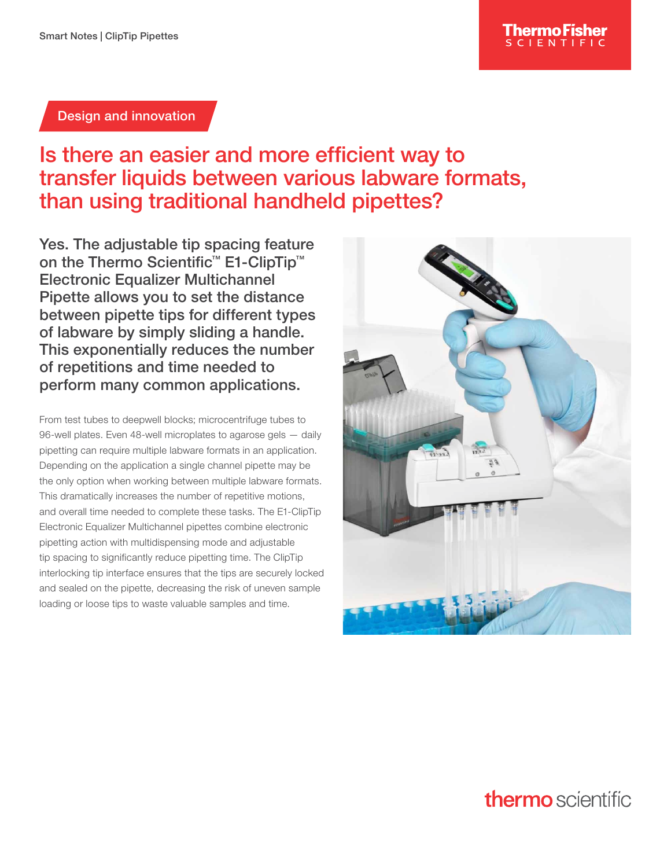#### Design and innovation

## Is there an easier and more efficient way to transfer liquids between various labware formats, than using traditional handheld pipettes?

Yes. The adjustable tip spacing feature on the Thermo Scientific<sup>™</sup> E1-ClipTip<sup>™</sup> Electronic Equalizer Multichannel Pipette allows you to set the distance between pipette tips for different types of labware by simply sliding a handle. This exponentially reduces the number of repetitions and time needed to perform many common applications.

From test tubes to deepwell blocks; microcentrifuge tubes to 96-well plates. Even 48-well microplates to agarose gels — daily pipetting can require multiple labware formats in an application. Depending on the application a single channel pipette may be the only option when working between multiple labware formats. This dramatically increases the number of repetitive motions, and overall time needed to complete these tasks. The E1-ClipTip Electronic Equalizer Multichannel pipettes combine electronic pipetting action with multidispensing mode and adjustable tip spacing to significantly reduce pipetting time. The ClipTip interlocking tip interface ensures that the tips are securely locked and sealed on the pipette, decreasing the risk of uneven sample loading or loose tips to waste valuable samples and time.



# **thermo** scientific